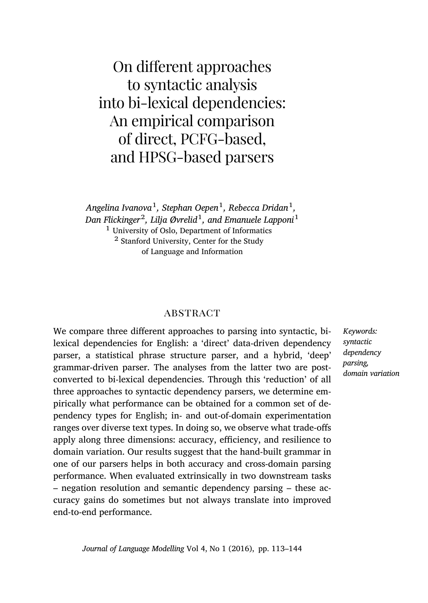On different approaches to syntactic analysis into bi-lexical dependencies: An empirical comparison of direct, PCFG-based, and HPSG-based parsers

*Angelina Ivanova*<sup>1</sup> *, Stephan Oepen*<sup>1</sup> *, Rebecca Dridan*<sup>1</sup> *, Dan Flickinger*<sup>2</sup> *, Lilja Øvrelid*<sup>1</sup> *, and Emanuele Lapponi*<sup>1</sup> <sup>1</sup> University of Oslo, Department of Informatics <sup>2</sup> Stanford University, Center for the Study of Language and Information

# **ABSTRACT**

We compare three different approaches to parsing into syntactic, bilexical dependencies for English: a 'direct' data-driven dependency parser, a statistical phrase structure parser, and a hybrid, 'deep' grammar-driven parser. The analyses from the latter two are postconverted to bi-lexical dependencies. Through this 'reduction' of all three approaches to syntactic dependency parsers, we determine empirically what performance can be obtained for a common set of dependency types for English; in- and out-of-domain experimentation ranges over diverse text types. In doing so, we observe what trade-offs apply along three dimensions: accuracy, efficiency, and resilience to domain variation. Our results suggest that the hand-built [gram](#page-25-0)mar in one of our parsers helps in both accuracy and cross-domain parsing performance. When evaluated extrinsically in two downstream tasks – negation resolution and semantic dependency parsing – these accuracy gains do sometimes but not always translate into improved end-to-end performance.

*Keywords: syntactic dependency parsing, domain variation*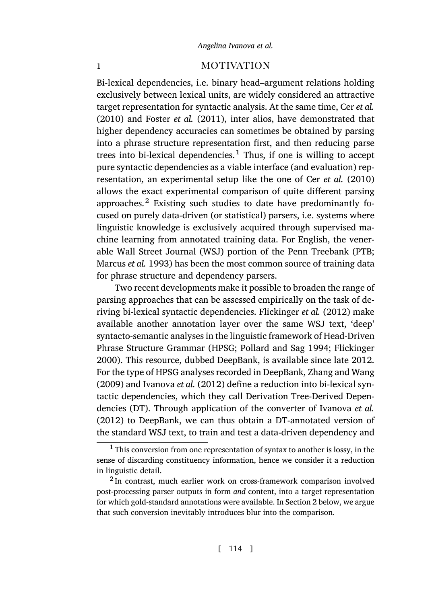# 1 **MOTIVATION**

Bi-lexical dependencies, i.e. binary head–argument [relations](#page-27-0) h[olding](#page-27-0) exclusively between lexical units, are widely considered an attractive target representation for syntactic analysis. At the same time, Cer *et al.* (2010) and Foster *et al.* (2011), inter alios, have demonstrated that higher dependency accuracies can sometimes be obtained by parsing into a phrase structure representation first, and then reducing parse trees into bi-lexical dependencies.<sup>1</sup> Thus, if one is willing to accept [pure syntactic dep](#page-29-0)endencies as a viable interface (and evaluation) representation, an experimental setup like the one of Cer *et al.* (2010) allows the exact experimental comparison of quite different parsing approaches. $2$  Existing such studies to date have predominantly focused on purely data-driven (or statistic[al\) parsers, i.e. systems](#page-28-0) where linguistic knowledge is exclusively acquired through supervised machine learning from annotated training data. For English, the venerable Wall Street Journal (WSJ) po[rtion of the Penn Tree](#page-31-0)b[ank \(PTB;](#page-28-1) [Marcu](#page-28-1)s *et al.* 1993) has been the most common sourc[e of training data](#page-31-1) for phrase structure and dependency parsers.

[Tw](#page-31-1)o re[cent developments m](#page-29-1)ake it possible to broaden the range of parsing approaches that can be assessed empirically on the task of deriving bi-lexical syntactic dependencies. Flickinger *et al.* [\(2012\) make](#page-29-1) [availab](#page-29-1)le another annotation layer over the same WSJ text, 'deep' syntacto-semantic analyses in the linguistic framework of Head-Driven Phrase Structure Grammar (HPSG; Pollard and Sag 1994; Flickinger 2000). This resource, dubbed DeepBank, is available since late 2012. For the type of HPSG analyses recorded in DeepBank, Zhang and Wang (2009) and Ivanova *et al.* (2012) define a reduction into bi-lexical syntactic dependencies, which they call Derivation Tree-Derived Dependencies (DT). Through application of the converter [of](#page-2-0) Ivanova *et al.* (2012) to DeepBank, we can thus obtain a DT-annotated version of the standard WSJ text, to train and test a data-driven dependency and

 $<sup>1</sup>$  This conversion from one representation of syntax to another is lossy, in the</sup> sense of discarding constituency information, hence we consider it a reduction in linguistic detail.

<sup>&</sup>lt;sup>2</sup> In contrast, much earlier work on cross-framework comparison involved post-processing parser outputs in form *and* content, into a target representation for which gold-standard annotations were available. In Section 2 below, we argue that such conversion inevitably introduces blur into the comparison.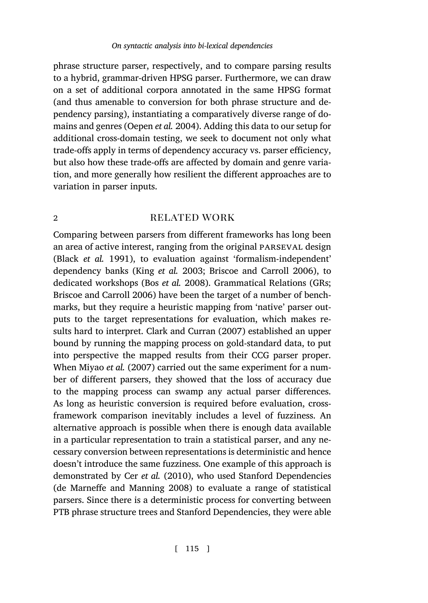<span id="page-2-0"></span>phrase structure parser, respectively, and to compare parsing results to a hybrid, grammar-driven HPSG parser. Furthermore, we can draw on a set of additional corpora annotated in the same HPSG format (and thus amenable to conversion for both phrase structure and dependency parsing), instantiating a comparatively diverse range of domains and genres (Oepen *et al.* 2004). Adding this data to our setup for additional cross-domain testing, we seek to document not only what trade-offs apply in terms of dependency accuracy vs. parser efficiency, [but also how these](#page-27-1) trade-offs are affected by domain and genre variation, and more gene[rally how resilient](#page-29-2) [the different approaches ar](#page-27-2)e to [variation in parser inp](#page-27-2)[uts.](#page-27-3)

# 2 RELATED WORK

Comparing between pa[rsers from different fram](#page-28-2)eworks has long been an area of active interest, ranging from the original parseval design (Black *et al.* 1991), to evaluation against 'formalism-independent' depen[dency banks \(King](#page-30-0) *et al.* 2003; Briscoe and Carroll 2006), to dedicated workshops (Bos *et al.* 2008). Grammatical Relations (GRs; Briscoe and Carroll 2006) have been the target of a number of benchmarks, but they require a heuristic mapping from 'native' parser outputs to the target representations for evaluation, which makes results hard to interpret. Clark and Curran (2007) established an upper bound by running the mapping process on gold-standard data, to put into perspective the mapped results from their CCG parser proper. When Miyao *et al.* (2007) carried out the same experiment for a number of different [parsers, they sho](#page-27-0)wed that the loss of accuracy due t[o the mapping process can swa](#page-28-3)mp any actual parser differences. As long as heuristic conversion is required before evaluation, crossframework comparison inevitably includes a level of fuzziness. An alternative approach is possible when there is enough data available in a particular representation to train a statistical parser, and any necessary conversion between representations is deterministic and hence doesn't introduce the same fuzziness. One example of this approach is demonstrated by Cer *et al.* (2010), who used Stanford Dependencies (de Marneffe and Manning 2008) to evaluate a range of statistical parsers. Since there is a deterministic process for converting between PTB phrase structure trees and Stanford Dependencies, they were able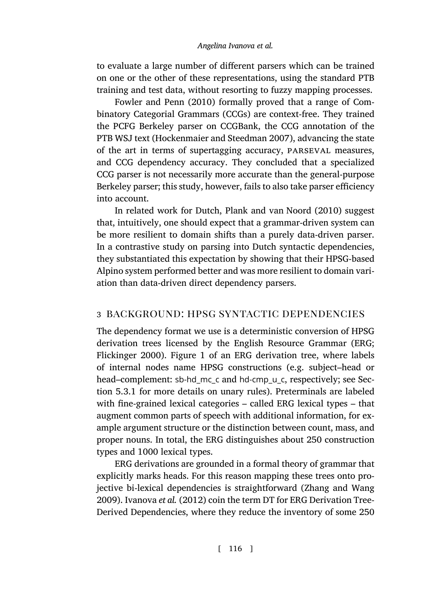to evaluate a large number of different parsers which can be trained on one or the other of these representations, using the standard PTB training and test data, without resorting to fuzzy mapping processes.

Fowler and Penn (2010) formally proved that a range of Combinatory Categorial Grammars [\(CCGs\) are context-fre](#page-31-2)e[. They](#page-31-2) trained the PCFG Berkeley parser on CCGBank, the CCG annotation of the PTB WSJ text (Hockenmaier and Steedman 2007), advancing the state of the art in terms of supertagging accuracy, parseval measures, and CCG dependency accuracy. They concluded that a specialized CCG parser is not necessarily more accurate than the general-purpose Berkeley parser; this study, however, fails to also take parser efficiency into account.

In related work for Dutch, Plank and van Noord (2010) suggest that, intuitively, one should expect that a grammar-driven system can be more resilient to domain shifts than a purely data-driven parser. In a contrastive study on parsing into Dutch syntactic dependencies, [they substantiate](#page-28-1)d this ex[pe](#page-4-0)ctation by showing that their HPSG-based Alpino system performed better and was more resilient to domain variatio[n than](#page-9-0) data-driven direct dependency parsers.

# 3 background: hpsg syntactic dependencies

The dependency format we use is a deterministic conversion of HPSG derivation trees licensed by the English Resource Grammar (ERG; Flickinger 2000). Figure 1 of an ERG derivation tree, where labels of internal nodes name HPSG constructions (e.g. subject–head or head–complement: sb-hd\_mc\_c and hd-cmp\_u\_c, respectively; see Section 5.3.1 for more details on unary rules). Preter[minals are labeled](#page-31-1) [with](#page-31-1) fi[ne-grained lexical ca](#page-29-1)tegories – called ERG lexical types – that augment common parts of speech with additional information, for example argument structure or the distinction between count, mass, and proper nouns. In total, the ERG distinguishes about 250 construction types and 1000 lexical types.

ERG derivations are grounded in a formal theory of grammar that explicitly marks heads. For this reason mapping these trees onto projective bi-lexical dependencies is straightforward (Zhang and Wang 2009). Ivanova *et al.* (2012) coin the term DT for ERG Derivation Tree-Derived Dependencies, where they reduce the inventory of some 250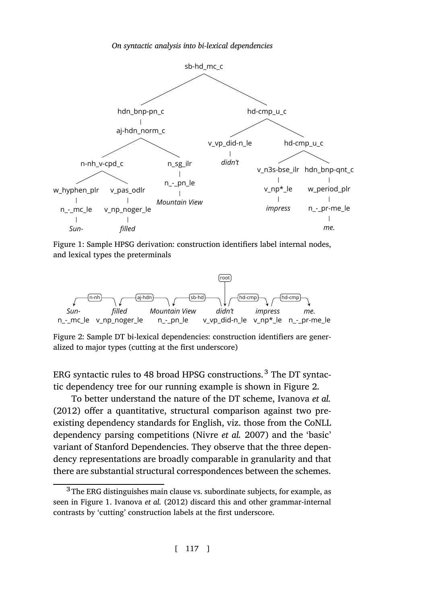<span id="page-4-0"></span>

Figure 1: Sample HPSG derivation: construction identifiers label internal nodes, and lexical types the preterminals



Figure 2: Sample DT bi-lexical dependen[cies: construc](#page-30-1)t[ion ide](#page-30-1)ntifiers are generalized to major types (cutting at the first underscore)

ERG syntactic rules to 48 broad HPSG constructions. $3$  The DT syntactic dependency tree for our running example is shown in Figure 2.

To bette[r](#page-4-0) [understand the nat](#page-29-1)ure of the DT scheme, Ivanova *et al.* (2012) offer a quantitative, structural comparison against two preexisting dependency standards for English, viz. those from the CoNLL dependency parsing competitions (Nivre *et al.* 2007) and the 'basic' variant of Stanford Dependencies. They observe that the three dependency representations are broadly comparable in granularity and that there are substantial structural correspondences between the schemes.

<sup>3</sup> The ERG distinguishes main clause vs. subordinate subjects, for example, as seen in Figure 1. Ivanova *et al.* (2012) discard this and other grammar-internal contrasts by 'cutting' construction labels at the first underscore.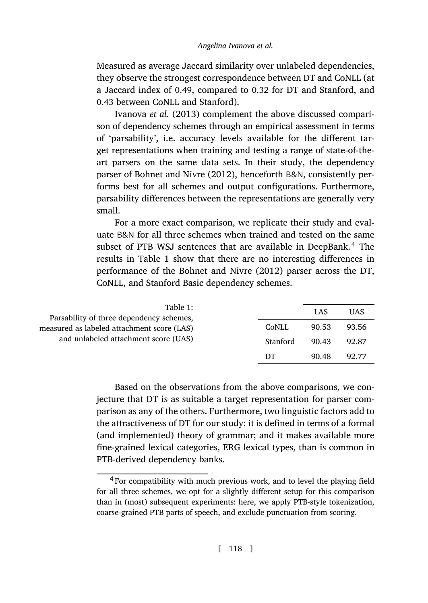Measured as average Jaccard similarity over unlabeled dependencies, they obse[rve the strongest corresp](#page-27-4)ondence between DT and CoNLL (at a Jaccard index of 0.49, compared to 0.32 for DT and Stanford, and 0.43 between CoNLL and Stanford).

Ivanova *et al.* (2013) complement the above discussed comparison of dependency schemes through an empirical assessment in terms of 'parsability', i.e. accuracy levels available for the different target representations when training and testing a range of state-of-theart parsers ont[he](#page-5-0) same data sets. In their study, the dependency parser of Bohnet and Nivre [\(2012\), hen](#page-27-4)c[eforth](#page-27-4) B&N, consistently performs best for all schemes and output configurations. Furthermore, parsability differences between the representations are generally very small.

<span id="page-5-0"></span>For a more exact comparison, we replicate their study and evaluate B&N for all three schemes when trained and tested on the same subset of PTB WSJ sentences that are available in DeepBank.<sup>4</sup> The results in Table 1 show that there are no interesting differences in performance of the Bohnet and Nivre (2012) parser across the DT, CoNLL, and Stanford Basic dependency schemes.

| Table 1:<br>Parsability of three dependency schemes, |          | LAS   | UAS   |
|------------------------------------------------------|----------|-------|-------|
| measured as labeled attachment score (LAS)           | CONLL    | 90.53 | 93.56 |
| and unlabeled attachment score (UAS)                 | Stanford | 90.43 | 92.87 |
|                                                      | DT       | 90.48 | 92.77 |

Based on the observations from the above comparisons, we conjecture that DT is as suitable a target representation for parser comparison as any of the others. Furthermore, two linguistic factors add to the attractiveness of DT for our study: it is defined in terms of a formal (and implemented) theory of grammar; and it makes available more fine-grained lexical categories, ERG lexical types, than is common in PTB-derived dependency banks.

<sup>4</sup> For compatibility with much previous work, and to level the playing field for all three schemes, we opt for a slightly different setup for this comparison than in (most) subsequent experiments: here, we apply PTB-style tokenization, coarse-grained PTB parts of speech, and exclude punctuation from scoring.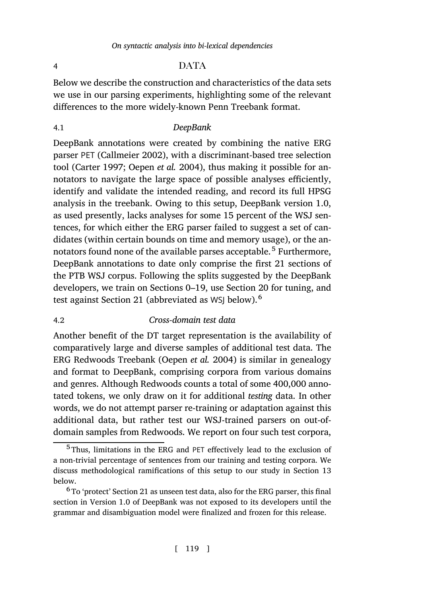# 4 DATA

Below we describe the construction and characteristics of the data sets we use in our parsing experiments, highlighting some of the relevant differences to the more widely-known Penn Treebank format.

### 4.1 *DeepBank*

DeepBank annotations were created by combining the native ERG parser PET (Callmeier 2002), with a discriminant-based tree selection tool (Carter 1997; Oepen *et al.* 2004), thus making it possible for annotators to navigate the large space of possible analyses efficiently, identify and validate the intended reading, and record its full HPSG analysis in the treebank. Owing to this setup, DeepBank version 1.0, as used presently, lacks analyses for some 15 percent of the WSJ sentences, for which either the ERG parser failed to suggest a set of candidates (within certain bounds on time and memory usage), or the annotators found none of the available parses acceptable.<sup>5</sup> Furthermore, DeepBank annotations to [date only comprise](#page-30-2) the first 21 sections of the PTB WSJ corpus. Following the splits suggested by the DeepBank developers, we train on Sections 0–19, use Section 20 for tuning, and test against Section 21 (abbreviated as WSJ below).<sup>6</sup>

## 4.2 *Cross-domain test data*

Another benefit of the DT target representation is the availability of comparatively large and diverse samples of additional test data. The ERG Redwoods Treebank (Oepen *et al.* 2004) is similar in genealogy and format to DeepBank, comprising corpora from various doma[ins](#page-25-0) and genres. Although Redwoods counts a total of some 400,000 annotated tokens, we only draw on it for additional *testing* data. In other words, we do not attempt parser re-training or adaptation against this additional data, but rather test our WSJ-trained parsers on out-ofdomain samples from Redwoods. We report on four such test corpora,

<sup>&</sup>lt;sup>5</sup> Thus, limitations in the ERG and PET effectively lead to the exclusion of a non-trivial percentage of sentences from our training and testing corpora. We discuss methodological ramifications of this setup to our study in Section 13 below.

 $6$  To 'protect' Section 21 as unseen test data, also for the ERG parser, this final section in Version 1.0 of DeepBank was not exposed to its developers until the grammar and disambiguation model were finalized and frozen for this release.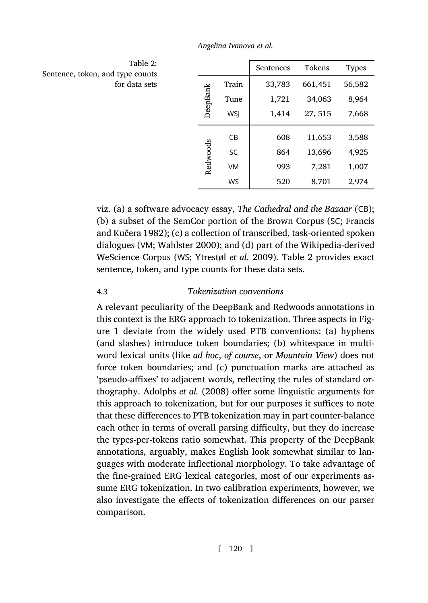|          |           | Sentences | Tokens  | Types  |
|----------|-----------|-----------|---------|--------|
|          | Train     | 33,783    | 661,451 | 56,582 |
| DeepBank | Tune      | 1,721     | 34,063  | 8,964  |
|          | WSI       | 1,414     | 27, 515 | 7,668  |
|          | CB        | 608       | 11,653  | 3,588  |
|          | <b>SC</b> | 864       | 13,696  | 4,925  |
| Redwoods | VM        | 993       | 7,281   | 1,007  |
|          | WS        | 520       | 8,701   | 2,974  |

<span id="page-7-0"></span>Table 2: Sentence, token, and type counts for data sets

viz. (a) a software advocacy essay, *The Cathedral and the Bazaar* (CB); (b) a subset of the SemCor portion of the Brown Corpus (SC; Francis and [K](#page-4-0)učera 1982); (c) a collection of transcribed, task-oriented spoken dialogues (VM; Wahlster 2000); and (d) part of the Wikipedia-derived WeScience Corpus (WS; Ytrestøl *et al.* 2009). Table 2 provides exact sentence, token, and type counts for these data sets.

## 4.3 *[Tokenizati](#page-27-5)on conventions*

A relevant peculiarity of the DeepBank and Redwoods annotations in this context is the ERG approach to tokenization. Three aspects in Figure 1 deviate from the widely used PTB conventions: (a) hyphens (and slashes) introduce token boundaries; (b) whitespace in multiword lexical units (like *ad hoc*, *of course*, or *Mountain View*) does not force token boundaries; and (c) punctuation marks are attached as 'pseudo-affixes' to adjacent words, reflecting the rules of standard orthography. Adolphs *et al.* (2008) offer some linguistic arguments for this approach to tokenization, but for our purposes it suffices to note that these differences to PTB tokenization may in part counter-balance each other in terms of overall parsing difficulty, but they do increase the types-per-tokens ratio somewhat. This property of the DeepBank annotations, arguably, makes English look somewhat similar to languages with moderate inflectional morphology. To take advantage of the fine-grained ERG lexical categories, most of our experiments assume ERG tokenization. In two calibration experiments, however, we also investigate the effects of tokenization differences on our parser comparison.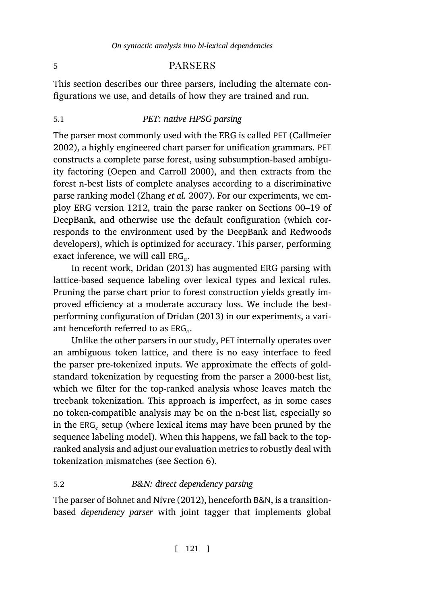# 5 [parsers](#page-30-3)

This section describes our three parsers, including the alternate configurations we use, a[nd details of how](#page-31-5) they are trained and run.

### 5.1 *PET: native HPSG parsing*

The parser most commonly used with the ERG is called PET (Callmeier 2002), a highly engineered chart parser for unification grammars. PET constructs a complete parse forest, using subsumption-based ambiguity factoring (Oepe[n and C](#page-28-5)a[rroll](#page-28-5) 2000), and then extracts from the forest n-best lists of complete analyses according to a discriminative parse ranking model (Zhang *et al.* 2007). For our experiments, we employ ERG version 1212, train the parse ranker on Sections 00–19 of DeepBank, and otherwise u[se the](#page-28-5) d[efault](#page-28-5) configuration (which corresponds to the environment used by the DeepBank and Redwoods developers), which is optimized for accuracy. This parser, performing exact inference, we will call ERG*<sup>a</sup>* .

In recent work, Dridan (2013) has augmented ERG parsing with lattice-based sequence labeling over lexical types and lexical rules. Pruning the parse chart prior to forest construction yields greatly improved efficiency at a moderate accuracy loss. We include the bestperforming configuration of Dridan (2013) in our experiments, a variant henceforth referred to as ERG*<sup>e</sup>* .

Unlike the other parsers in our study, PET internally operates over an ambiguous token lattice, and there is no easy interface to feed the parser pre-tokenized inputs. We [app](#page-11-0)roximate the effects of goldstandard tokenization by requesting from the parser a 2000-best list, which we filter for the top-ranked analysis whose leaves match the treebank tok[enization. This approach](#page-27-4) is imperfect, as in some cases no token-compatible analysis may be on the n-best list, especially so in the ERG*<sup>e</sup>* setup (where lexical items may have been pruned by the sequence labeling model). When this happens, we fall back to the topranked analysis and adjust our evaluation metrics to robustly deal with tokenization mismatches (see Section 6).

## 5.2 *B&N: direct dependency parsing*

The parser of Bohnet and Nivre (2012), henceforth B&N, is a transitionbased *dependency parser* with joint tagger that implements global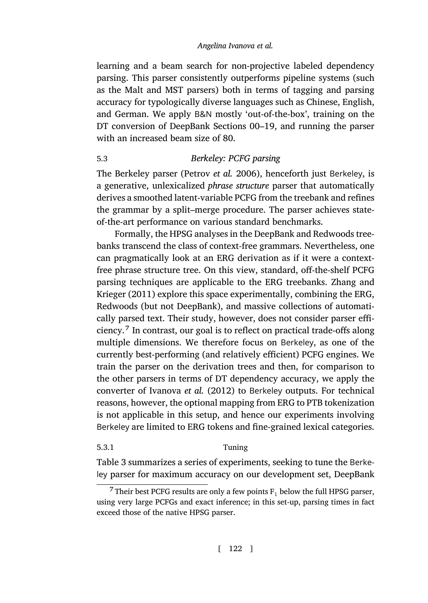learning and a beam search for non-projective labeled dependency parsing. This parser [consistently outper](#page-31-6)forms pipeline systems (such as the Malt and MST parsers) both in terms of tagging and parsing accuracy for typologically diverse languages such as Chinese, English, and German. We apply B&N mostly 'out-of-the-box', training on the DT conversion of DeepBank Sections 00–19, and running the parser with an increased beam size of 80.

## 5.3 *Berkeley: PCFG parsing*

The Berkeley parser (Petrov *et al.* 2006), henceforth just Berkeley, is a generative, unlexicalized *phrase structure* parser that au[tomatically](#page-31-7) [derives a smoo](#page-31-7)thed latent-variable PCFG from the treebank and refines the grammar by a split–merge procedure. The parser achieves stateof-the-art performance on various standard benchmarks.

Formally, the HPSG analyses in the DeepBank and Redwoods treebanks transcend the class of context-free grammars. Nevertheless, one can pragmatically look at an ERG derivation as if it were a contextfree phrase structure tree. On this view, standard, off-the-shelf PCFG parsing techniques are applicable to the ERG treebanks. Zhang and Krieger (201[1\) explore this](#page-29-1) s[pace e](#page-29-1)xperimentally, combining the ERG, Redwoods (but not DeepBank), and massive collections of automatically parsed text. Their study, however, does not consider parser efficiency.<sup>7</sup> In contrast, our goal is to reflect on practical trade-offs along multiple dimensions. We therefore focus on Berkeley, as one of the currently best-performing (and relatively efficient) PCFG engines. We train [th](#page-10-0)e parser on the derivation trees and then, for comparison to the other parsers in terms of DT dependency accuracy, we apply the converter of Ivanova *et al.* (2012) to Berkeley outputs. For technical reasons, however, the optional mapping from ERG to PTB tokenization is not applicable in this setup, and hence our experiments involving Berkeley are limited to ERG tokens and fine-grained lexical categories.

# <span id="page-9-0"></span>5.3.1 Tuning

Table 3 summarizes a series of experiments, seeking to tune the Berkeley parser for maximum accuracy on our development set, DeepBank

<sup>&</sup>lt;sup>7</sup> Their best PCFG results are only a few points  $F_1$  below the full HPSG parser, using very large PCFGs and exact inference; in this set-up, parsing times in fact exceed those of the native HPSG parser.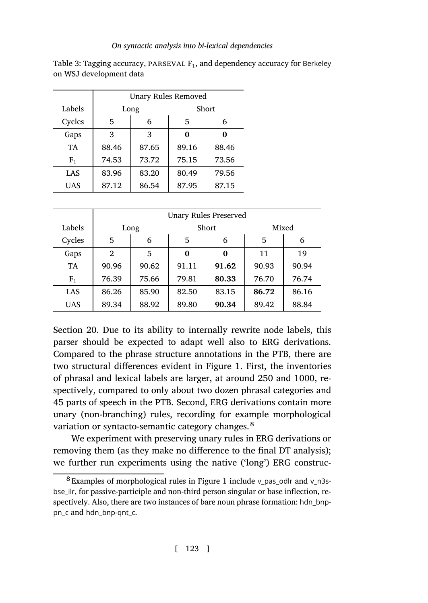<span id="page-10-0"></span>Table 3: Tagging accuracy,  $\texttt{PARSEVAL}\,F_1$ , and dependency accuracy for Berkeley on WSJ development data

|             | Unary Rules Removed |       |       |       |  |  |  |  |
|-------------|---------------------|-------|-------|-------|--|--|--|--|
| Labels      |                     | Long  |       | Short |  |  |  |  |
| Cycles      | 5                   | 6     | 5     | 6     |  |  |  |  |
| Gaps        | 3                   | 3     | 0     | Ω     |  |  |  |  |
| TA          | 88.46               | 87.65 | 89.16 | 88.46 |  |  |  |  |
| ${\rm F_1}$ | 74.53               | 73.72 | 75.15 | 73.56 |  |  |  |  |
| LAS         | 83.96               | 83.20 | 80.49 | 79.56 |  |  |  |  |
| UAS         | 87.12               | 86.54 | 87.95 | 87.15 |  |  |  |  |

|            | Unary Rules Preserved |       |       |       |       |       |  |  |
|------------|-----------------------|-------|-------|-------|-------|-------|--|--|
| Labels     |                       | Long  |       | Short | Mixed |       |  |  |
| Cycles     | 5                     | 6     | 5     | 6     | 5     | 6     |  |  |
| Gaps       | $\mathbf{2}$          | 5     | 0     | 0     | 11    | 19    |  |  |
| <b>TA</b>  | 90.96                 | 90.62 | 91.11 | 91.62 | 90.93 | 90.94 |  |  |
| $F_1$      | 76.39                 | 75.66 | 79.81 | 80.33 | 76.70 | 76.74 |  |  |
| LAS        | 86.26                 | 85.90 | 82.50 | 83.15 | 86.72 | 86.16 |  |  |
| <b>UAS</b> | 89.34                 | 88.92 | 89.80 | 90.34 | 89.42 | 88.84 |  |  |

Section 20. Due to its ability to internally rewrite node labels, this parser should be expected to adapt well also to ERG derivations. Compared to the phrase structure annotations in the PTB, there are two structural differences evident in Figure 1. First, the inventories of phrasal and lexical labels are larger, a[t a](#page-4-0)round 250 and 1000, respectively, compared to only about two dozen phrasal categories and 45 parts of speech in the PTB. Second, ERG derivations contain more unary (non-branching) rules, recording for example morphological variation or syntacto-semantic category changes.<sup>8</sup>

We experiment with preserving unary rules in ERG derivations or removing them (as they make no difference to the final DT analysis); we further run experiments using the native ('long') ERG construc-

<sup>8</sup> Examples of morphological rules in Figure 1 include v\_pas\_odlr and v\_n3sbse\_ilr, for passive-participle and non-third person singular or base inflection, respectively. Also, there are two instances of bare noun phrase formation: hdn bnppn\_c and hdn\_bnp-qnt\_c.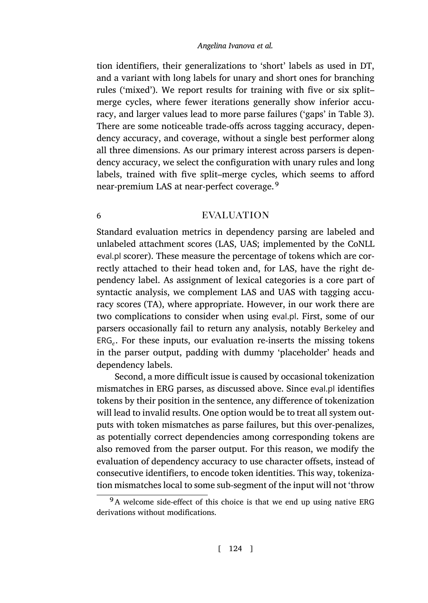<span id="page-11-0"></span>tion identifiers, their generalizations to 'short' labels as used in DT, and a variant with long labels for unary and short ones for branching rules ('mixed'). We report results for training with five or six split– merge cycles, where fewer iterations generally show inferior accuracy, and larger values lead to more parse failures ('gaps' in Table 3). There are some noticeable trade-offs across tagging accuracy, dependency accuracy, and coverage, without a single best performer along all three dimensions. As our primary interest across parsers is dependency accuracy, we select the configuration with unary rules and long labels, trained with five split–merge cycles, which seems to afford near-premium LAS at near-perfect coverage.<sup>9</sup>

# 6 EVALUATION

Standard evaluation metrics in dependency parsing are labeled and unlabeled attachment scores (LAS, UAS; implemented by the CoNLL eval.pl scorer). These measure the percentage of tokens which are correctly attached to their head token and, for LAS, have the right dependency label. As assignment of lexical categories is a core part of syntactic analysis, we complement LAS and UAS with tagging accuracy scores (TA), where appropriate. However, in our work there are two complications to consider when using eval.pl. First, some of our parsers occasionally fail to return any analysis, notably Berkeley and ERG*<sup>e</sup>* . For these inputs, our evaluation re-inserts the missing tokens in the parser output, padding with dummy 'placeholder' heads and dependency labels.

Second, a more difficult issue is caused by occasional tokenization mismatches in ERG parses, as discussed above. Since eval.pl identifies tokens by their position in the sentence, any difference of tokenization will lead to invalid results. One option would be to treat all system outputs with token mismatches as parse failures, but this over-penalizes, as potentially correct dependencies among corresponding tokens are also removed from the parser output. For this reason, we modify the evaluation of dependency accuracy to use character offsets, instead of consecutive identifiers, to encode token identities. This way, tokenization mismatches local to some sub-segment of the input will not 'throw

<sup>&</sup>lt;sup>9</sup>A welcome side-effect of this choice is that we end up using native ERG derivations without modifications.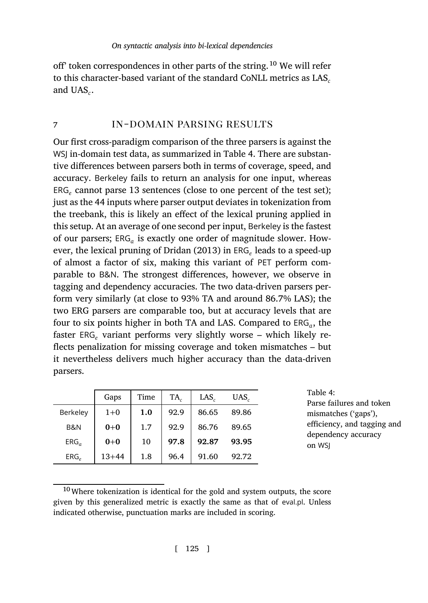off' token correspondences in other parts of the string.<sup>10</sup> We will refer to this character-based variant of the standard CoNLL metrics as LAS<sub>c</sub> and UAS*<sup>c</sup>* .

# 7 **IN-DOMAIN PARSING RESULTS**

Our first cross-paradigm comparison of the three parsers is against the WSJ in-domain test data, as [summa](#page-28-5)r[ized in](#page-28-5) Table 4. There are substantive differences between parsers both in terms of coverage, speed, and accuracy. Berkeley fails to return an analysis for one input, whereas ERG*<sup>e</sup>* cannot parse 13 sentences (close to one percent of the test set); just as the 44 inputs where parser output deviates in tokenization from the treebank, this is likely an effect of the lexical pruning applied in this setup. At an average of one second per input, Berkeley is the fastest of our parsers; ERG*<sup>a</sup>* is exactly one order of magnitude slower. However, the lexical pruning of Dridan (2013) in ERG*<sup>e</sup>* leads to a speed-up of almost a factor of six, making this variant of PET perform comparable to B&N. The strongest differences, however, we observe in tagging and dependency accuracies. The two data-driven parsers perform very similarly (at close to 93% TA and around 86.7% LAS); the two ERG parsers are comparable too, but at accuracy levels that are four to six points higher in both TA and LAS. Compared to ERG*<sup>a</sup>* , the faster ERG*<sup>e</sup>* variant performs very slightly worse – which likely reflects penalization for missing coverage and token mismatches – but it nevertheless delivers much higher accuracy than the data-driven parsers.

|                | Gaps      | Time | TA   | LAS <sub>c</sub> | UAS <sub>c</sub> |
|----------------|-----------|------|------|------------------|------------------|
| Berkeley       | $1 + 0$   | 1.0  | 92.9 | 86.65            | 89.86            |
| <b>B&amp;N</b> | $0+0$     | 1.7  | 92.9 | 86.76            | 89.65            |
| $ERG_a$        | $0+0$     | 10   | 97.8 | 92.87            | 93.95            |
| ERG            | $13 + 44$ | 1.8  | 96.4 | 91.60            | 92.72            |

 $^{10}$  Where tokenization is identical for the gold and system outputs, the score given by this generalized metric is exactly the same as that of eval.pl. Unless indicated otherwise, punctuation marks are included in scoring.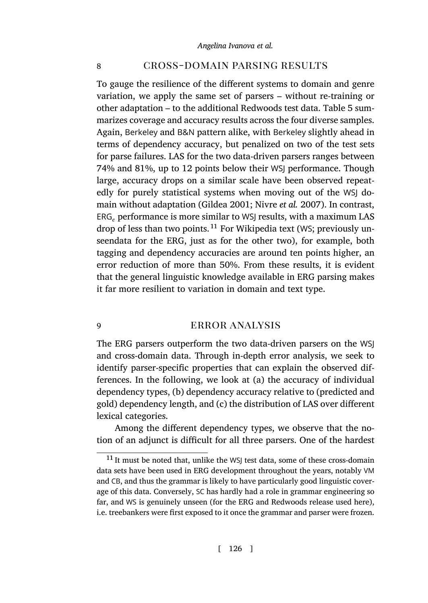## 8 CROSS-DOMAIN PARSING RESULTS

To gauge the resilience of the different systems to domain and genre variation, we apply the same set of parsers – without re-training or other adaptation – to the [additional Re](#page-28-6)[dwoods test data.](#page-30-1) Table 5 summarizes coverage and accuracy results across the four diverse samples. Again, Berkeley and B&N pattern alike, with Berkeley slightly ahead in terms of dependency accuracy, but penalized on two of the test sets for parse failures. LAS for the two data-driven parsers ranges between 74% and 81%, up to 12 points below their WSJ performance. Though large, accuracy drops on a similar scale have been observed repeatedly for purely statistical systems when moving out of the WSJ domain without adaptation (Gildea 2001; Nivre *et al.* 2007). In contrast, ERG*<sup>e</sup>* performance is more similar to WSJ results, with a maximum LAS drop of less than two points.<sup>11</sup> For Wikipedia text (WS; previously unseendata for the ERG, just as for the other two), for example, both tagging and dependency accuracies are around ten points higher, an error reduction of more than 50%. From these results, it is evident that the general linguistic knowledge available in ERG parsing makes it far more resilient to variation in domain and text type.

## 9 ERROR ANALYSIS

The ERG parsers outperform the two data-driven parsers on the WSJ and cross-domain data. Through in-depth error analysis, we seek to identify parser-specific properties that can explain the observed differences. In the following, we look at (a) the accuracy of individual dependency types, (b) dependency accuracy relative to (predicted and gold) dependency length, and (c) the distribution of LAS over different lexical categories.

Among the different dependency types, we observe that the notion of an adjunct is difficult for all three parsers. One of the hardest

<sup>&</sup>lt;sup>11</sup> It must be noted that, unlike the WSJ test data, some of these cross-domain data sets have been used in ERG development throughout the years, notably VM and CB, and thus the grammar is likely to have particularly good linguistic coverage of this data. Conversely, SC has hardly had a role in grammar engineering so far, and WS is genuinely unseen (for the ERG and Redwoods release used here), i.e. treebankers were first exposed to it once the grammar and parser were frozen.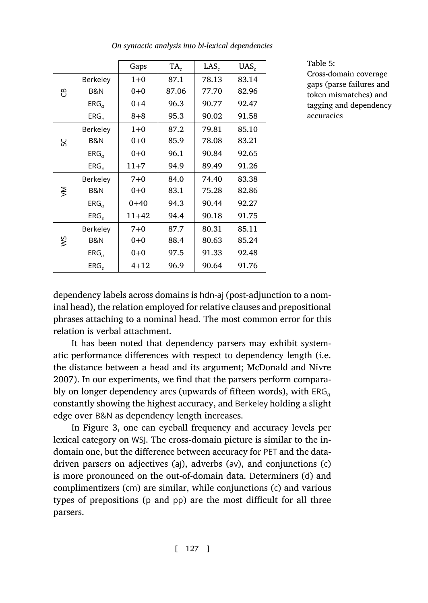|    |                  | Gaps      | $TA_c$ | LAS <sub>c</sub> | $UAS_c$ |
|----|------------------|-----------|--------|------------------|---------|
|    | Berkeley         | $1 + 0$   | 87.1   | 78.13            | 83.14   |
| ⊕  | <b>B&amp;N</b>   | $0 + 0$   | 87.06  | 77.70            | 82.96   |
|    | $ERG_a$          | $0 + 4$   | 96.3   | 90.77            | 92.47   |
|    | ERG <sub>e</sub> | $8 + 8$   | 95.3   | 90.02            | 91.58   |
|    | Berkeley         | $1 + 0$   | 87.2   | 79.81            | 85.10   |
| X  | <b>B&amp;N</b>   | $0 + 0$   | 85.9   | 78.08            | 83.21   |
|    | ERG <sub>a</sub> | $0 + 0$   | 96.1   | 90.84            | 92.65   |
|    | ERG <sub>e</sub> | $11 + 7$  | 94.9   | 89.49            | 91.26   |
|    | Berkeley         | $7 + 0$   | 84.0   | 74.40            | 83.38   |
| ξ  | <b>B&amp;N</b>   | $0 + 0$   | 83.1   | 75.28            | 82.86   |
|    | $ERG_a$          | $0+40$    | 94.3   | 90.44            | 92.27   |
|    | ERG <sub>e</sub> | $11 + 42$ | 94.4   | 90.18            | 91.75   |
|    | Berkeley         | $7 + 0$   | 87.7   | 80.31            | 85.11   |
| ŞΛ | <b>B&amp;N</b>   | $0 + 0$   | 88.4   | 80.63            | 85.24   |
|    | $ERG_a$          | $0 + 0$   | 97.5   | 91.33            | 92.48   |
|    | ERG <sub>e</sub> | $4 + 12$  | 96.9   | 90.64            | 91.76   |

*On syntactic analysis into bi-lexical dependencies*

Table 5: Cross-domain coverage gaps (parse failures and token mismatches) and tagging and dependency accuracies

dependency labels across domains is hdn-aj (post-adjunction to a nominal head), the relation employed for relative clauses and prepositional phrases attaching to a nominal head. The most common error for this relation is ver[ba](#page-15-0)l attachment.

It has been noted that dependency parsers may exhibit systematic performance differences with respect to dependency length (i.e. the distance between a head and its argument; McDonald and Nivre 2007). In our experiments, we find that the parsers perform comparably on longer dependency arcs (upwards of fifteen words), with ERG*<sup>a</sup>* constantly showing the highest accuracy, and Berkeley holding a slight edge over B&N as dependency length increases.

In Figure 3, one can eyeball frequency and accuracy levels per lexical category on WSJ. The cross-domain picture is similar to the indomain one, but the difference between accuracy for PET and the datadriven parsers on adjectives (aj), adverbs (av), and conjunctions (c) is more pronounced on the out-of-domain data. Determiners (d) and complimentizers (cm) are similar, while conjunctions (c) and various types of prepositions (p and pp) are the most difficult for all three parsers.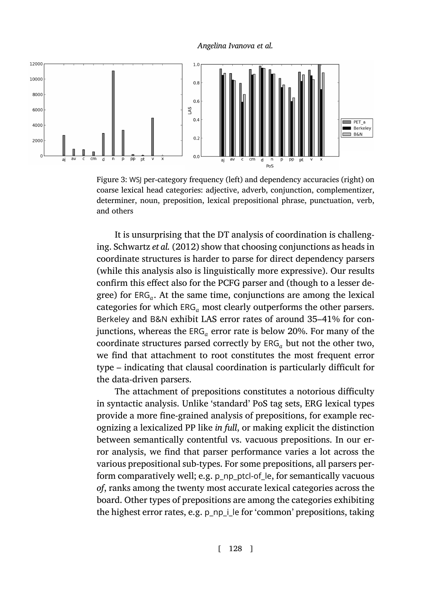<span id="page-15-0"></span>



Figure 3: WSJ per-category frequency (left) and dependency accuracies (right) on coarse lexical head categories: adjective, adverb, conjunction, complementizer, determiner, noun, preposition, lexical prepositional phrase, punctuation, verb, and others

It is unsurprising that the DT analysis of coordination is challenging. Schwartz *et al.* (2012) show that choosing conjunctions as heads in coordinate structures is harder to parse for direct dependency parsers (while this analysis also is linguistically more expressive). Our results confirm this effect also for the PCFG parser and (though to a lesser degree) for ERG*<sup>a</sup>* . At the same time, conjunctions are among the lexical categories for which ERG*<sup>a</sup>* most clearly outperforms the other parsers. Berkeley and B&N exhibit LAS error rates of around 35–41% for conjunctions, whereas the ERG*<sup>a</sup>* error rate is below 20%. For many of the coordinate structures parsed correctly by ERG*<sup>a</sup>* but not the other two, we find that attachment to root constitutes the most frequent error type – indicating that clausal coordination is particularly difficult for the data-driven parsers.

The attachment of prepositions constitutes a notorious difficulty in syntactic analysis. Unlike 'standard' PoS tag sets, ERG lexical types provide a more fine-grained analysis of prepositions, for example recognizing a lexicalized PP like *in full*, or making explicit the distinction between semantically contentful vs. vacuous prepositions. In our error analysis, we find that parser performance varies a lot across the various prepositional sub-types. For some prepositions, all parsers perform comparatively well; e.g. p\_np\_ptcl-of\_le, for semantically vacuous *of*, ranks among the twenty most accurate lexical categories across the board. Other types of prepositions are among the categories exhibiting the highest error rates, e.g. p\_np\_i\_le for 'common' prepositions, taking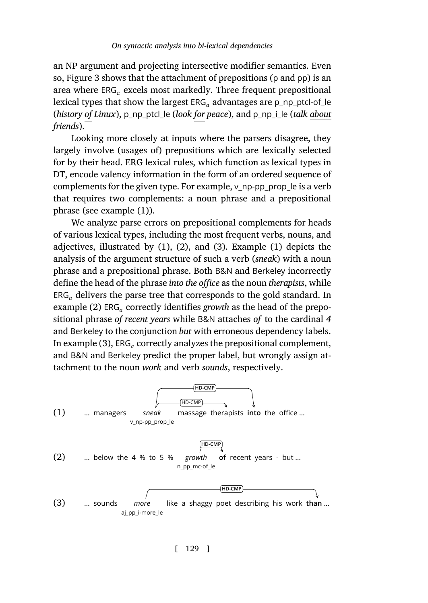an NP argument and projecting intersective modifier semantics. Even so, Figure 3 shows that the attachment of prepositions (p and pp) is an area where ERG*<sup>a</sup>* excels most markedly. Three frequent prepositional lexical types that show the largest ERG*<sup>a</sup>* advantages are p\_np\_ptcl-of\_le (*history of Linux*), p\_n[p\\_](#page-16-0)ptcl\_le (*look for peace*), and p\_np\_i\_le (*talk about friends*).

Looking more closely at inputs where the parsers disagree, they largely involve (usages of[\) p](#page-16-0)re[po](#page-16-1)sitions [w](#page-16-2)hich are le[xic](#page-16-0)ally selected for by their head. ERG lexical rules, which function as lexical types in DT, encode valency information in the form of an ordered sequence of complements for the given type. For example, v\_np-pp\_prop\_le is a verb that requires two complements: a noun phrase and a prepositional phrase (s[ee](#page-16-1) example (1)).

<span id="page-16-0"></span>We analyze parse errors on prepositional complements for heads of various lexical types, including the most frequent verbs, nouns, and adjectives, [ill](#page-16-2)ustrated by (1), (2), and (3). Example (1) depicts the analysis of the argument structure of such a verb (*sneak*) with a noun phrase and a prepositional phrase. Both B&N and Berkeley incorrectly define the head of the phrase *into the office* as the noun *therapists*, while ERG*<sup>a</sup>* delivers the parse tree that corresponds to the gold standard. In example (2) ERG*<sup>a</sup>* correctly identifies *growth* as the head of the prepositional phrase *of recent years* while B&N attaches *of* to the cardinal *4* and Berkeley to the conjunction *but* with erroneous dependency labels. In example (3), ERG*<sup>a</sup>* correctly analyzes the prepositional complement, and B&N and Berkeley predict the proper label, but wrongly assign attachment to the noun *work* and verb *sounds*, respectively.

<span id="page-16-2"></span><span id="page-16-1"></span>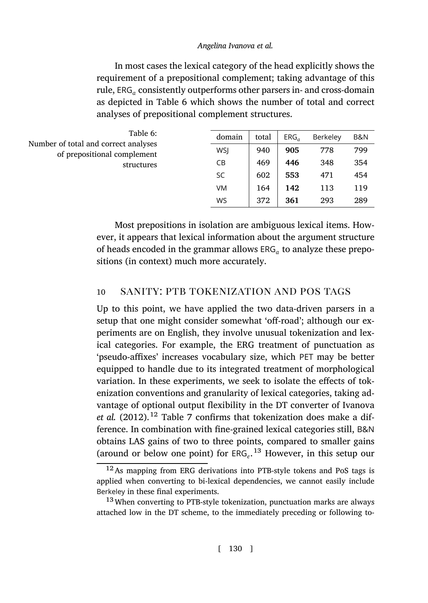In most cases the lexical category of the head explicitly shows the requirement of a prepositional complement; taking advantage of this rule, ERG*<sup>a</sup>* consistently outperforms other parsers in- and cross-domain as depicted in Table 6 which shows the number of total and correct analyses of prepositional complement structures.

| Table 6:                                                            | domain     | total | $ERG_a$ | Berkelev | B&N |
|---------------------------------------------------------------------|------------|-------|---------|----------|-----|
| Number of total and correct analyses<br>of prepositional complement | <b>WSJ</b> | 940   | 905     | 778      | 799 |
| structures                                                          | CВ         | 469   | 446     | 348      | 354 |
|                                                                     | SC         | 602   | 553     | 471      | 454 |
|                                                                     | VM         | 164   | 142     | 113      | 119 |
|                                                                     | WS         | 372   | 361     | 293      | 289 |

Most prepositions in isolation are ambiguous lexical items. However, it appears that lexical information about the argument structure of heads encoded in the grammar allows  $\texttt{ERG}_{a}$  to analyze these prepositions (in context) much more accurately.

# 10 SANITY: PTB TOKENIZATION AND POS TAGS

Up to this point, we have applied the two data-driven par[sers in a](#page-29-1) [setup that o](#page-29-1)ne might [co](#page-18-0)nsider somewhat 'off-road'; although our experiments are on English, they involve unusual tokenization and lexical categories. For example, the ERG treatment of punctuation as 'pseudo-affixes' increases vocabulary size, which PET may be better equipped to handle due to its integrated treatment of morphological variation. In these experiments, we seek to isolate the effects of tokenization conventions and granularity of lexical categories, taking advantage of optional output flexibility in the DT converter of Ivanova *et al.* (2012).<sup>12</sup> Table 7 confirms that tokenization does make a difference. In combination with fine-grained lexical categories still, B&N obtains LAS gains of two to three points, compared to smaller gains (around or below one point) for  $ERG<sub>e</sub>$ .<sup>13</sup> However, in this setup our

<sup>&</sup>lt;sup>12</sup> As mapping from ERG derivations into PTB-style tokens and PoS tags is applied when converting to bi-lexical dependencies, we cannot easily include Berkeley in these final experiments.

<sup>&</sup>lt;sup>13</sup> When converting to PTB-style tokenization, punctuation marks are always attached low in the DT scheme, to the immediately preceding or following to-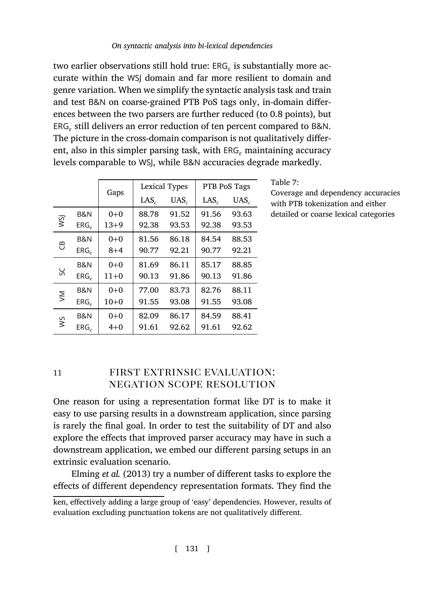two earlier observations still hold true: ERG<sub>e</sub> is substantially more accurate within the WSJ domain and far more resilient to domain and genre variation. When we simplify the syntactic analysis task and train and test B&N on coarse-grained PTB PoS tags only, in-domain differences between the two parsers are further reduced (to 0.8 points), but ERG*<sup>e</sup>* still delivers an error reduction of ten percent compared to B&N. The picture in the cross-domain comparison is not qualitatively different, also in this simpler parsing task, with ERG*<sup>e</sup>* maintaining accuracy levels comparable to WSJ, while B&N accuracies degrade markedly.

|        |                  | Gaps     |                  | <b>Lexical Types</b> | PTB PoS Tags     |         |  |
|--------|------------------|----------|------------------|----------------------|------------------|---------|--|
|        |                  |          | LAS <sub>c</sub> | $UAS_c$              | LAS <sub>c</sub> | $UAS_c$ |  |
|        | B&N              | $0 + 0$  | 88.78            | 91.52                | 91.56            | 93.63   |  |
| ΜS     | ERG <sub>e</sub> | $13+9$   | 92.38            | 93.53                | 92.38            | 93.53   |  |
|        | B&N              | $0 + 0$  | 81.56            | 86.18                | 84.54            | 88.53   |  |
| ප      | ERG <sub>e</sub> | $8 + 4$  | 90.77            | 92.21                | 90.77            | 92.21   |  |
|        | B&N              | $0 + 0$  | 81.69            | 86.11                | 85.17            | 88.85   |  |
| SC     | ERG <sub>e</sub> | $11+0$   | 90.13            | 91.86                | 90.13            | 91.86   |  |
| $\geq$ | <b>B&amp;N</b>   | $0 + 0$  | 77.00            | 83.73                | 82.76            | 88.11   |  |
|        | ERG <sub>e</sub> | $10 + 0$ | 91.55            | 93.08                | 91.55            | 93.08   |  |
|        | B&N              | $0 + 0$  | 82.09            | 86.17                | 84.59            | 88.41   |  |
| Š      | ERG <sub>e</sub> | $4 + 0$  | 91.61            | 92.62                | 91.61            | 92.62   |  |

### <span id="page-18-0"></span>Table 7:

Coverage and dependency accuracies with PTB tokenization and either detailed or coarse lexical categories

# 11 **FIRST EXTRINSIC EVALUATION:** negation scope resolution

One reason for using a representation format like DT is to make it easy to use parsing results in a downstream application, since parsing is rarely the final goal. In order to test the suitability of DT and also explore the effects that improved parser accuracy may have in such a downstream application, we embed our different parsing setups in an extrinsic evaluation scenario.

Elming *et al.* (2013) try a number of different tasks to explore the effects of different dependency representation formats. They find the

ken, effectively adding a large group of 'easy' dependencies. However, results of evaluation excluding punctuation tokens are not qualitatively different.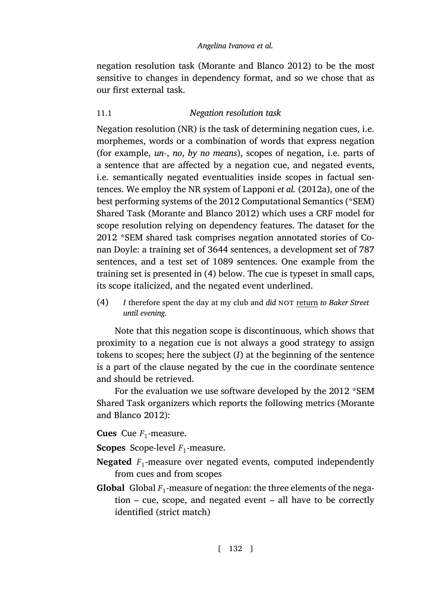negation resolution task (Morante and Blanco 2012) to be the most sensitive to changes in dependency format, and so we chose that as our first external task.

### 11.1 *[Negation resolutio](#page-30-4)n task*

<span id="page-19-0"></span>Negation resolution (NR) is the task of determining negation cues, i.e. morphemes, words or a combination of words that express negation (for example, *un-*, *no*, *by no means*), scopes of negation, i.e. parts of a sentence that are affected by a negation cue, and negated events, i.e. semantically negatede[ve](#page-19-0)ntualities inside scopes in factual sentences. We employ the NR system of Lapponi *et al.* (2012a), one of the best performing systems of the 2012 Computational Semantics (\*SEM) Shared Task (Morante and Blanco 2012) which uses a CRF model for scope resolution relying on dependency features. The dataset for the 2012 \*SEM shared task comprises negation annotated stories of Conan Doyle: a training set of 3644 sentences, a development set of 787 sentences, and a test set of 1089 sentences. One example from the training set is presented in (4) below. The cue is typeset in small caps, its scope italicized, and the negated event underlined.

(4) *I* therefore spent the day at my club and *did* not return *to Ba[ker Street](#page-30-4) [until evening](#page-30-4)*.

Note that this negation scope is discontinuous, which shows that proximity to a negation cue is not always a good strategy to assign tokens to scopes; here the subject (*I*) at the beginning of the sentence is a part of the clause negated by the cue in the coordinate sentence and should be retrieved.

For the evaluation we use software developed by the 2012 \*SEM Shared Task organizers which reports the following metrics (Morante and Blanco 2012):

**Cues** Cue  $F_1$ -measure.

- **Scopes** Scope-level  $F_1$ -measure.
- **Negated** *F*<sup>1</sup> -measure over negated events, computed independently from cues and from scopes
- **Global** Global  $F_1$ -measure of negation: the three elements of the negation – cue, scope, and negated event – all have to be correctly identified (strict match)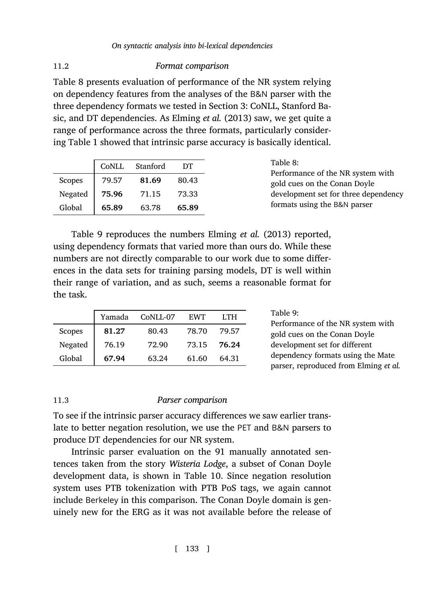## 11.2 *Format comparison*

Table 8 presents evaluation of performance of the NR system relying on dependency features from the analyses of the B&N parser with the three dependency formats we tested in Section 3: CoNLL, Stanford Basic, and DT dependencies. As Elming *et al.* (2013) saw, we get quite a range of p[er](#page-20-0)formance across the three [formats, part](#page-28-7)i[cularly](#page-28-7) considering Table 1 showed that intrinsic parse accuracy is basically identical.

|         | <b>CONLL</b> | Stanford | DТ    |
|---------|--------------|----------|-------|
| Scopes  | 79.57        | 81.69    | 80.43 |
| Negated | 75.96        | 71.15    | 73.33 |
| Global  | 65.89        | 63.78    | 65.89 |

<span id="page-20-0"></span>Table 8: Performance of the NR system with gold cues on the Conan Doyle development set for three dependency formats using the B&N parser

Table 9 reproduces the numbers Elming *et al.* (2013) reported, using dependency formats that varied more than ours do. While these numbers are not directly comparable to our work due to some differences in the data sets for training parsing models, DT is well within their range of variation, and as such, seems a reasonable format for the task.

|         | Yamada | CoNLL-07 | <b>EWT</b> | LTH   |
|---------|--------|----------|------------|-------|
| Scopes  | 81.27  | 80.43    | 78.70      | 79.57 |
| Negated | 76.19  | 72.90    | 73.15      | 76.24 |
| Global  | 67.94  | 63.24    | 61.60      | 64.31 |
|         |        |          |            |       |

### 11.3 *Parser comparison*

To see if the intrinsic parser accuracy differences we saw earlier translate to better negation resolution, we use the PET and B&N parsers to produce DT dependencies for our NR system.

Intrinsic parser evaluation on the 91 manually annotated sentences taken from the story *Wisteria Lodge*, a subset of Conan Doyle development data, is shown in Table 10. Since negation resolution system uses PTB tokenization with PTB PoS tags, we again cannot include Berkeley in this comparison. The Conan Doyle domain is genuinely new for the ERG as it was not available before the release of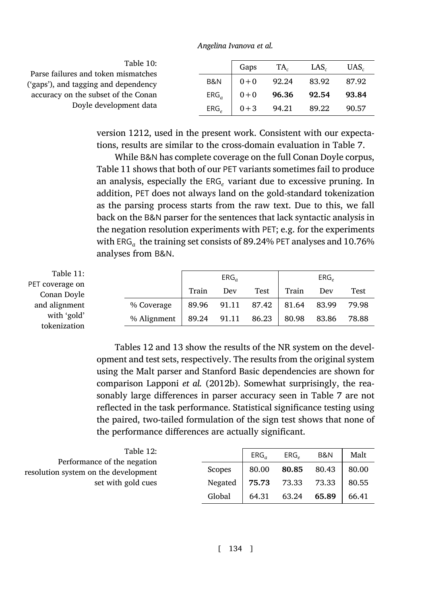Table 10:

Parse failures and token [mism](#page-21-0)atches ('gaps'), and tagging and dependency accuracy on the subset of the Conan

Doyle development data

|                  | Gaps    | $TA_c$ | LAS <sub>c</sub> | $UAS_c$ |
|------------------|---------|--------|------------------|---------|
| <b>B&amp;N</b>   | $0 + 0$ | 92.24  | 83.92            | 87.92   |
| $ERG_a$          | $0 + 0$ | 96.36  | 92.54            | 93.84   |
| ERG <sub>e</sub> | $0 + 3$ | 94.21  | 89.22            | 90.57   |
|                  |         |        |                  |         |

version 1212, used in the present work. Consistent with our expectations, results are similar to the cross-domain evaluation in Table 7.

<span id="page-21-0"></span>While B&N has complete coverage on the full Conan Doyle corpus, Table 11 shows that both of our PET variants sometimes fail to produce an analysis, especially the ERG*<sup>e</sup>* variant due to excessive pruning. In addition, PET does not always land on the gold-standard tokenization as the parsing process starts from the raw text. Due to this, we fall back on the B&N parser for the sentences that lack syntactic analysis in the negation resolution experiments with PET; e.g. for the experiments with ERG $_{a}$  t[he](#page-21-1) trai[ning](#page-22-0) set consists of 89.24% PET analyses and  $10.76\%$ analyses from B&N.

Table 11: PET coverage on Conan Doyle and alignment with 'gold' tokenization

|                                                     | $ERG_a$ |     |                                       |       | ERG <sub>e</sub> |      |
|-----------------------------------------------------|---------|-----|---------------------------------------|-------|------------------|------|
|                                                     | Train   | Dev | Test                                  | Train | Dev              | Test |
| % Coverage                                          |         |     | 89.96 91.11 87.42   81.64 83.99 79.98 |       |                  |      |
| % Alignment   89.24 91.11 86.23   80.98 83.86 78.88 |         |     |                                       |       |                  |      |

<span id="page-21-1"></span>Tables 12 and 13 show the results of the NR system on the development and test sets, respectively. The results from the original system using the Malt parser and Stanford Basic dependencies are shown for comparison Lapponi *et al.* (2012b). Somewhat surprisingly, the reasonably large differences in parser accuracy seen in Table 7 are not reflected in the task performance. Statistical significance testing using the paired, two-tailed formulation of the sign test shows that none of the performance differences are actually significant.

| Table 12:                                                           |         | ERG <sub>a</sub> | ERG <sub>a</sub> | B&N   | Malt  |
|---------------------------------------------------------------------|---------|------------------|------------------|-------|-------|
| Performance of the negation<br>resolution system on the development | Scopes  | 80.00            | 80.85            | 80.43 | 80.00 |
| set with gold cues                                                  | Negated | 75.73            | 73.33 73.33      |       | 80.55 |
|                                                                     | Global  | 64.31            | 63.24            | 65.89 | 66.41 |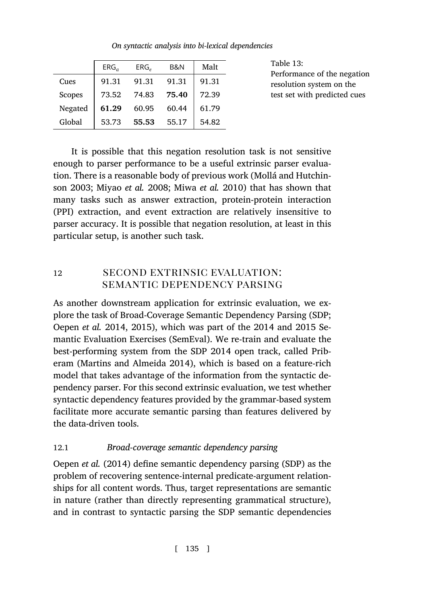|         | $ERG_a$ | ERG <sub>e</sub> | B&N   | Malt  |
|---------|---------|------------------|-------|-------|
| Cues    | 91.31   | 91.31            | 91.31 | 91.31 |
| Scopes  | 73.52   | 74.83            | 75.40 | 72.39 |
| Negated | 61.29   | 60.95            | 60.44 | 61.79 |
| Global  | 53.73   | 55.53            | 55.17 | 54.82 |

<span id="page-22-0"></span>Table 13: [Performance of th](#page-30-5)e negation resolution system on the test set with predicted cues

It is possible that this negation resolution task is not sensitive enough to parser performance to be a useful extrinsic parser evaluation. There is a reasonable body of previous work (Mollá and Hutchinson 2003; Miyao *et al.* 2008; Miwa *et al.* 2010) that has shown that many tasks such as answer extraction, protein-protein interaction (PPI) extraction, and event extraction are relatively insensitive to [parser accuracy. It](#page-30-7) [is pos](#page-30-8)sible that negation resolution, at least in this particular setup, is another such task.

# 12 [second extrin](#page-29-7)sic evaluation: semantic dependency parsing

As another downstream application for extrinsic evaluation, we explore the task of Broad-Coverage Semantic Dependency Parsing (SDP; Oepen *et al.* 2014, 2015), which was part of the 2014 and 2015 Semantic Evaluation Exercises (SemEval). We re-train and evaluate the best-performing system from the SDP 2014 open track, called Prib[eram \(Martins and](#page-30-7) Almeida 2014), which is based on a feature-rich model that takes advantage of the information from the syntactic dependency parser. For this second extrinsic evaluation, we test whether syntactic dependency features provided by the grammar-based system facilitate more accurate semantic parsing than features delivered by the data-driven tools.

## 12.1 *Broad-coverage semantic dependency parsing*

Oepen *et al.* (2014) define semantic dependency parsing (SDP) as the problem of recovering sentence-internal predicate-argument relationships for all content words. Thus, target representations are semantic in nature (rather than directly representing grammatical structure), and in contrast to syntactic parsing the SDP semantic dependencies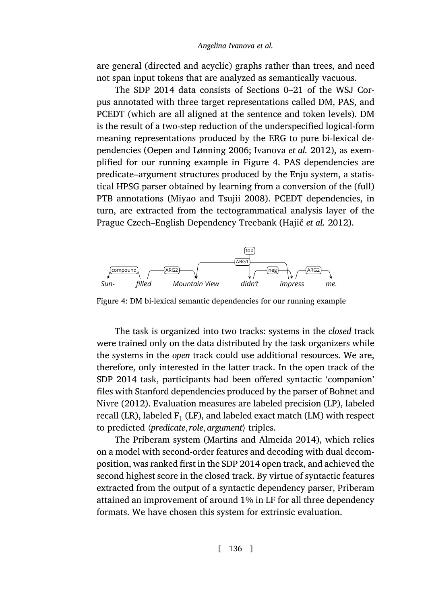are general (directed and acyclic) graphs r[ath](#page-23-0)er than trees, and need not span input tokens that are analyzed as semantically vacuous.

The SDP 2014 data consists of Sections 0–21 of the WSJ Corpus annotated wit[h three target represent](#page-30-9)ations called DM, PAS, and PCEDT (which are all aligned at the sentence and token levels). DM is the result of a two-step reduction of the und[erspecified logica](#page-28-8)l-form meaning representations produced by the ERG to pure bi-lexical dependencies (Oepen and Lønning 2006; Ivanova *et al.* 2012), as exemplified for our running example in Figure 4. PAS dependencies are predicate–argument structures produced by the Enju system, a statistical HPSG parser obtained by learning from a conversion of the (full) PTB annotations (Miyao and Tsujii 2008). PCEDT dependencies, in turn, are extracted from the tectogrammatical analysis layer of the Prague Czech–English Dependency Treebank (Hajič *et al.* 2012).

<span id="page-23-0"></span>

[Figure](#page-27-4) 4: [DM b](#page-27-4)i-lexical semantic dependencies for our running exa[mple](#page-27-4)

The task is organized into two tracks: systems in the *closed* track were trained only on the da[ta distributed by the task or](#page-29-7)ganizers while the systems in the *open* track could use additional resources. We are, therefore, only interested in the latter track. In the open track of the SDP 2014 task, participants had been offered syntactic 'companion' files with Stanford dependencies produced by the parser of Bohnet and Nivre (2012). Evaluation measures are labeled precision (LP), labeled recall (LR), labeled F $_{\rm 1}$  (LF), and labeled exact match (LM) with respect to predicted *〈predicate*,*role*, *argument〉* triples.

The Priberam system (Martins and Almeida 2014), which relies on a model with second-order features and decoding with dual decomposition, was ranked first in the SDP 2014 open track, and achieved the second highest score in the closed track. By virtue of syntactic features extracted from the output of a syntactic dependency parser, Priberam attained an improvement of around 1% in LF for all three dependency formats. We have chosen this system for extrinsic evaluation.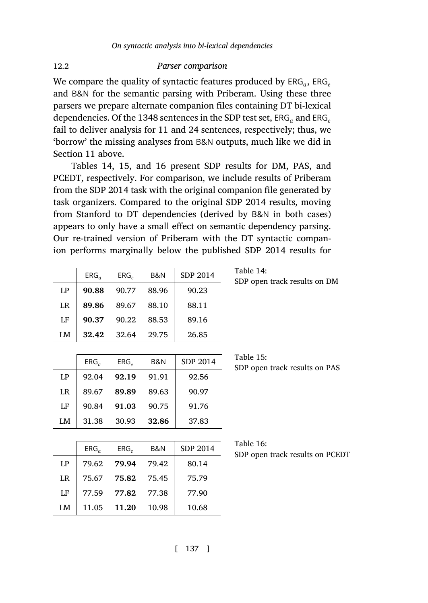## 12.2 *[Pa](#page-24-0)rser comparison*

We compare the quality of syntactic features produced by  $\texttt{ERG}_{a}$ ,  $\texttt{ERG}_{e}$ and B&N for the semantic parsing with Priberam. Using these three parsers we prepare alternate companion files containing DT bi-lexical dependencies. Of the 1348 sentences in the SDP test set, ERG<sub>a</sub> and ERG<sub>e</sub> fail to deliver analysis for 11 and 24 sentences, respectively; thus, we 'borrow' the missing analyses from B&N outputs, much like we did in Section 11 above.

Tables 14, 15, and 16 present SDP results for DM, PAS, and PCEDT, respectively. For comparison, we include results of Priberam from the SDP 2014 task with the original companion file generated by task organizers. Compared to the original SDP 2014 results, moving from Stanford to DT dependencies (derived by B&N in both cases) appears to only have a small effect on semantic dependency parsing. Our re-trained version of Priberam with the DT syntactic companion performs marginally below the published SDP 2014 results for

<span id="page-24-0"></span>

|    | $ERG_a$ | $ERG_e$          | B&N   | SDP 2014 | Table 14:<br>SDP open track results on DM    |
|----|---------|------------------|-------|----------|----------------------------------------------|
| LP | 90.88   | 90.77            | 88.96 | 90.23    |                                              |
| LR | 89.86   | 89.67            | 88.10 | 88.11    |                                              |
| LF | 90.37   | 90.22            | 88.53 | 89.16    |                                              |
| LM | 32.42   | 32.64            | 29.75 | 26.85    |                                              |
|    |         |                  |       |          |                                              |
|    | $ERG_a$ | ERG <sub>e</sub> | B&N   | SDP 2014 | Table 15:<br>SDP open track results on PAS   |
| LP | 92.04   | 92.19            | 91.91 | 92.56    |                                              |
| LR | 89.67   | 89.89            | 89.63 | 90.97    |                                              |
| LF | 90.84   | 91.03            | 90.75 | 91.76    |                                              |
| LM | 31.38   | 30.93            | 32.86 | 37.83    |                                              |
|    |         |                  |       |          |                                              |
|    | $ERG_a$ | ERG <sub>e</sub> | B&N   | SDP 2014 | Table 16:<br>SDP open track results on PCEDT |
| LP | 79.62   | 79.94            | 79.42 | 80.14    |                                              |
| LR | 75.67   | 75.82            | 75.45 | 75.79    |                                              |
| LF | 77.59   | 77.82            | 77.38 | 77.90    |                                              |
| LM | 11.05   | 11.20            | 10.98 | 10.68    |                                              |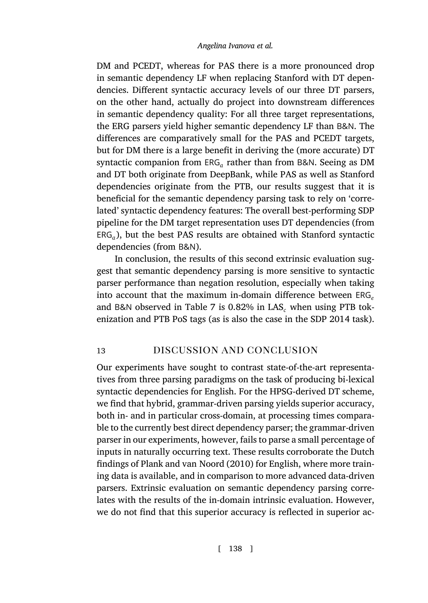DM and PCEDT, whereas for PAS there is a more pronounced drop in semantic dependency LF when replacing Stanford with DT dependencies. Different syntactic accuracy levels of our three DT parsers, on the other hand, actually do project into downstream differences in semantic dependency quality: For all three target representations, the ERG parsers yield higher semantic dependency LF than B&N. The differences are comparatively small for the PAS and PCEDT targets, but for DM there is a large benefit in deriving the (more accurate) DT syntactic companion from ERG*<sup>a</sup>* rather than from B&N. Seeing as DM and DT both originate from DeepBank, while PAS as well as Stanford dependencies originate from the PTB, our results suggest that it is beneficial for the semantic dependency parsing task to rely on 'correlated' syntactic dependency [fe](#page-18-0)atures: The overall best-performing SDP pipeline for the DM target representation uses DT dependencies (from ERG*<sup>a</sup>* ), but the best PAS results are obtained with Stanford syntactic dependencies (from B&N).

<span id="page-25-0"></span>In conclusion, the results of this second extrinsic evaluation suggest that semantic dependency parsing is more sensitive to syntactic parser performance than negation resolution, especially when taking into account that the maximum in-domain difference between ERG*<sup>e</sup>* and B&N observed in Table 7 is 0.82% in LAS*<sup>c</sup>* when using PTB tokenization and PTB PoS tags (as is also the case in the SDP 2014 task).

## 13 **DISCUSSION AND CONCLUSION**

Our experi[ments have sought to contr](#page-31-2)ast state-of-the-art representatives from three parsing paradigms on the task of producing bi-lexical syntactic dependencies for English. For the HPSG-derived DT scheme, we find that hybrid, grammar-driven parsing yields superior accuracy, both in- and in particular cross-domain, at processing times comparable to the currently best direct dependency parser; the grammar-driven parser in our experiments, however, fails to parse a small percentage of inputs in naturally occurring text. These results corroborate the Dutch findings of Plank and van Noord (2010) for English, where more training data is available, and in comparison to more advanced data-driven parsers. Extrinsic evaluation on semantic dependency parsing correlates with the results of the in-domain intrinsic evaluation. However, we do not find that this superior accuracy is reflected in superior ac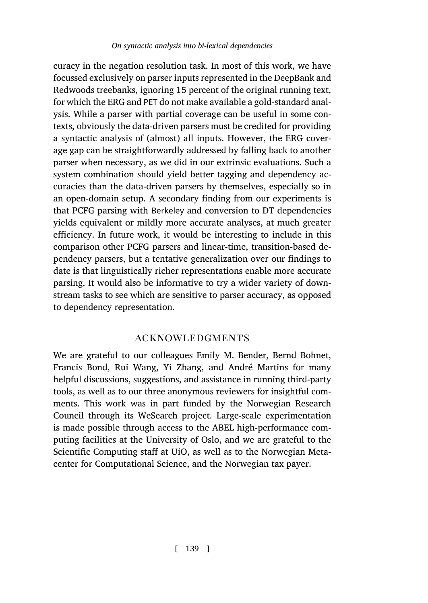curacy in the negation resolution task. In most of this work, we have focussed exclusively on parser inputs represented in the DeepBank and Redwoods treebanks, ignoring 15 percent of the original running text, for which the ERG and PET do not make available a gold-standard analysis. While a parser with partial coverage can be useful in some contexts, obviously the data-driven parsers must be credited for providing a syntactic analysis of (almost) all inputs. However, the ERG coverage gap can be straightforwardly addressed by falling back to another parser when necessary, as we did in our extrinsic evaluations. Such a system combination should yield better tagging and dependency accuracies than the data-driven parsers by themselves, especially so in an open-domain setup. A secondary finding from our experiments is that PCFG parsing with Berkeley and conversion to DT dependencies yields equivalent or mildly more accurate analyses, at much greater efficiency. In future work, it would be interesting to include in this comparison other PCFG parsers and linear-time, transition-based dependency parsers, but a tentative generalization over our findings to date is that linguistically richer representations enable more accurate parsing. It would also be informative to try a wider variety of downstream tasks to see which are sensitive to parser accuracy, as opposed to dependency representation.

# acknowledgments

We are grateful to our colleagues Emily M. Bender, Bernd Bohnet, Francis Bond, Rui Wang, Yi Zhang, and André Martins for many helpful discussions, suggestions, and assistance in running third-party tools, as well as to our three anonymous reviewers for insightful comments. This work was in part funded by the Norwegian Research Council through its WeSearch project. Large-scale experimentation is made possible through access to the ABEL high-performance computing facilities at the University of Oslo, and we are grateful to the Scientific Computing staff at UiO, as well as to the Norwegian Metacenter for Computational Science, and the Norwegian tax payer.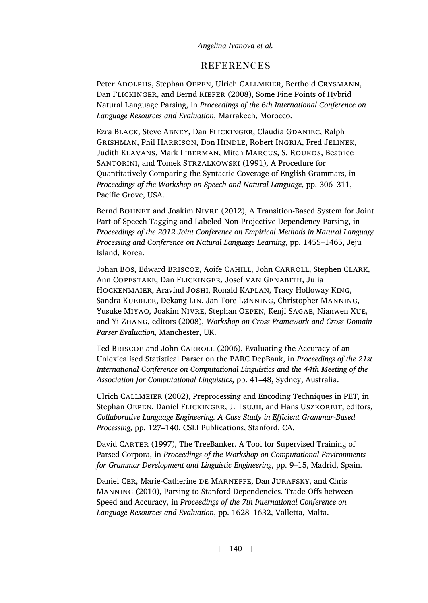## **REFERENCES**

<span id="page-27-5"></span>Peter ADOLPHS, Stephan OEPEN, Ulrich CALLMEIER, Berthold CRYSMANN, Dan Flickinger, and Bernd Kiefer (2008), Some Fine Points of Hybrid Natural Language Parsing, in *Proceedings of the 6th International Conference on Language Resources and Evaluation*, Marrakech, Morocco.

<span id="page-27-1"></span>Ezra BLACK, Steve ABNEY, Dan FLICKINGER, Claudia GDANIEC, Ralph Grishman, Phil Harrison, Don Hindle, Robert Ingria, Fred Jelinek, Judith Klavans, Mark Liberman, Mitch Marcus, S. Roukos, Beatrice SANTORINI, and Tomek STRZALKOWSKI (1991), A Procedure for Quantitatively Comparing the Syntactic Coverage of English Grammars, in *Proceedings of the Workshop on Speech and Natural Language*, pp. 306–311, Pacific Grove, USA.

<span id="page-27-4"></span>Bernd Bohnet and Joakim Nivre (2012), A Transition-Based System for Joint Part-of-Speech Tagging and Labeled Non-Projective Dependency Parsing, in *Proceedings of the 2012 Joint Conference on Empirical Methods in Natural Language Processing and Conference on Natural Language Learning*, pp. 1455–1465, Jeju Island, Korea.

<span id="page-27-3"></span>Johan Bos, Edward Briscoe, Aoife Cahill, John Carroll, Stephen Clark, Ann Copestake, Dan Flickinger, Josef van Genabith, Julia Hockenmaier, Aravind Joshi, Ronald Kaplan, Tracy Holloway King, Sandra Kuebler, Dekang Lin, Jan Tore Lønning, Christopher Manning, Yusuke Miyao, Joakim Nivre, Stephan Oepen, Kenji Sagae, Nianwen Xue, and Yi Zhang, editors (2008), *Workshop on Cross-Framework and Cross-Domain Parser Evaluation*, Manchester, UK.

<span id="page-27-2"></span>Ted BRISCOE and John CARROLL (2006), Evaluating the Accuracy of an Unlexicalised Statistical Parser on the PARC DepBank, in *Proceedings of the 21st International Conference on Computational Linguistics and the 44th Meeting of the Association for Computational Linguistics*, pp. 41–48, Sydney, Australia.

Ulrich Callmeier (2002), Preprocessing and Encoding Techniques in PET, in Stephan OEPEN, Daniel FLICKINGER, J. TSUJII, and Hans USZKOREIT, editors, *Collaborative Language Engineering. A Case Study in Efficient Grammar-Based Processing*, pp. 127–140, CSLI Publications, Stanford, CA.

David CARTER (1997), The TreeBanker. A Tool for Supervised Training of Parsed Corpora, in *Proceedings of the Workshop on Computational Environments for Grammar Development and Linguistic Engineering*, pp. 9–15, Madrid, Spain.

<span id="page-27-0"></span>Daniel CER, Marie-Catherine DE MARNEFFE, Dan JURAFSKY, and Chris Manning (2010), Parsing to Stanford Dependencies. Trade-Offs between Speed and Accuracy, in *Proceedings of the 7th International Conference on Language Resources and Evaluation*, pp. 1628–1632, Valletta, Malta.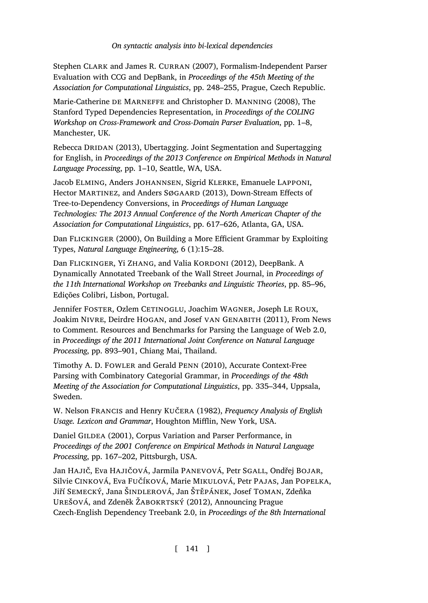<span id="page-28-2"></span>Stephen Clark and James R. Curran (2007), Formalism-Independent Parser Evaluation with CCG and DepBank, in *Proceedings of the 45th Meeting of the Association for Computational Linguistics*, pp. 248–255, Prague, Czech Republic.

<span id="page-28-3"></span>Marie-Catherine de Marneffe and Christopher D. Manning (2008), The Stanford Typed Dependencies Representation, in *Proceedings of the COLING Workshop on Cross-Framework and Cross-Domain Parser Evaluation*, pp. 1–8, Manchester, UK.

<span id="page-28-5"></span>Rebecca Dridan (2013), Ubertagging. Joint Segmentation and Supertagging for English, in *Proceedings of the 2013 Conference on Empirical Methods in Natural Language Processing*, pp. 1–10, Seattle, WA, USA.

<span id="page-28-7"></span>Jacob Elming, Anders Johannsen, Sigrid Klerke, Emanuele Lapponi, Hector MARTINEZ, and Anders SØGAARD (2013), Down-Stream Effects of Tree-to-Dependency Conversions, in *Proceedings of Human Language Technologies: The 2013 Annual Conference of the North American Chapter of the Association for Computational Linguistics*, pp. 617–626, Atlanta, GA, USA.

<span id="page-28-1"></span>Dan Flickinger (2000), On Building a More Efficient Grammar by Exploiting Types, *Natural Language Engineering*, 6 (1):15–28.

<span id="page-28-0"></span>Dan FLICKINGER, Yi ZHANG, and Valia KORDONI (2012), DeepBank. A Dynamically Annotated Treebank of the Wall Street Journal, in *Proceedings of the 11th International Workshop on Treebanks and Linguistic Theories*, pp. 85–96, Edições Colibri, Lisbon, Portugal.

Jennifer Foster, Ozlem Cetinoglu, Joachim Wagner, Joseph Le Roux, Joakim Nivre, Deirdre Hogan, and Josef van Genabith (2011), From News to Comment. Resources and Benchmarks for Parsing the Language of Web 2.0, in *Proceedings of the 2011 International Joint Conference on Natural Language Processing*, pp. 893–901, Chiang Mai, Thailand.

Timothy A. D. Fowler and Gerald Penn (2010), Accurate Context-Free Parsing with Combinatory Categorial Grammar, in *Proceedings of the 48th Meeting of the Association for Computational Linguistics*, pp. 335–344, Uppsala, Sweden.

<span id="page-28-4"></span>W. Nelson Francis and Henry Kučera (1982), *Frequency Analysis of English Usage. Lexicon and Grammar*, Houghton Mifflin, New York, USA.

<span id="page-28-6"></span>Daniel GILDEA (2001), Corpus Variation and Parser Performance, in *Proceedings of the 2001 Conference on Empirical Methods in Natural Language Processing*, pp. 167–202, Pittsburgh, USA.

<span id="page-28-8"></span>Jan Hajič, Eva Hajičová, Jarmila Panevová, Petr Sgall, Ondřej Bojar, Silvie Cinková, Eva Fučíková, Marie Mikulová, Petr Pajas, Jan Popelka, Jiří Semecký, Jana Šindlerová, Jan Štěpánek, Josef Toman, Zdeňka Urešová, and Zdeněk Žabokrtský (2012), Announcing Prague Czech-English Dependency Treebank 2.0, in *Proceedings of the 8th International*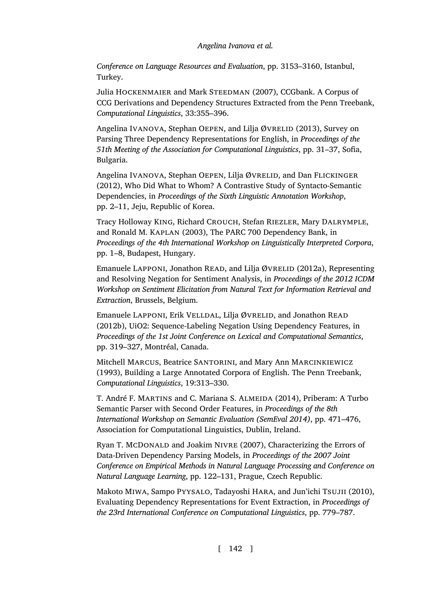*Conference on Language Resources and Evaluation*, pp. 3153–3160, Istanbul, Turkey.

<span id="page-29-3"></span>Julia Hockenmaier and Mark Steedman (2007), CCGbank. A Corpus of CCG Derivations and Dependency Structures Extracted from the Penn Treebank, *Computational Linguistics*, 33:355–396.

Angelina Ivanova, Stephan OEPEN, and Lilia Øvrellip (2013), Survey on Parsing Three Dependency Representations for English, in *Proceedings of the 51th Meeting of the Association for Computational Linguistics*, pp. 31–37, Sofia, Bulgaria.

<span id="page-29-1"></span>Angelina IVANOVA, Stephan OEPEN, Lilja ØVRELID, and Dan FLICKINGER (2012), Who Did What to Whom? A Contrastive Study of Syntacto-Semantic Dependencies, in *Proceedings of the Sixth Linguistic Annotation Workshop*, pp. 2–11, Jeju, Republic of Korea.

<span id="page-29-2"></span>Tracy Holloway King, Richard Crouch, Stefan Riezler, Mary Dalrymple, and Ronald M. Kaplan (2003), The PARC 700 Dependency Bank, in *Proceedings of the 4th International Workshop on Linguistically Interpreted Corpora*, pp. 1–8, Budapest, Hungary.

Emanuele LAPPONI, Jonathon READ, and Lilja ØVRELID (2012a), Representing and Resolving Negation for Sentiment Analysis, in *Proceedings of the 2012 ICDM Workshop on Sentiment Elicitation from Natural Text for Information Retrieval and Extraction*, Brussels, Belgium.

<span id="page-29-5"></span>Emanuele LAPPONI, Erik VELLDAL, Lilja ØVRELID, and Jonathon READ (2012b), UiO2: Sequence-Labeling Negation Using Dependency Features, in *Proceedings of the 1st Joint Conference on Lexical and Computational Semantics*, pp. 319–327, Montréal, Canada.

<span id="page-29-0"></span>Mitchell Marcus, Beatrice Santorini, and Mary Ann Marcinkiewicz (1993), Building a Large Annotated Corpora of English. The Penn Treebank, *Computational Linguistics*, 19:313–330.

<span id="page-29-7"></span>T. André F. MARTINS and C. Mariana S. ALMEIDA (2014), Priberam: A Turbo Semantic Parser with Second Order Features, in *Proceedings of the 8th International Workshop on Semantic Evaluation (SemEval 2014)*, pp. 471–476, Association for Computational Linguistics, Dublin, Ireland.

<span id="page-29-4"></span>Ryan T. McDonald and Joakim Nivre (2007), Characterizing the Errors of Data-Driven Dependency Parsing Models, in *Proceedings of the 2007 Joint Conference on Empirical Methods in Natural Language Processing and Conference on Natural Language Learning*, pp. 122–131, Prague, Czech Republic.

<span id="page-29-6"></span>Makoto MIWA, Sampo PYYSALO, Tadayoshi HARA, and Jun'ichi TSUJII (2010), Evaluating Dependency Representations for Event Extraction, in *Proceedings of the 23rd International Conference on Computational Linguistics*, pp. 779–787.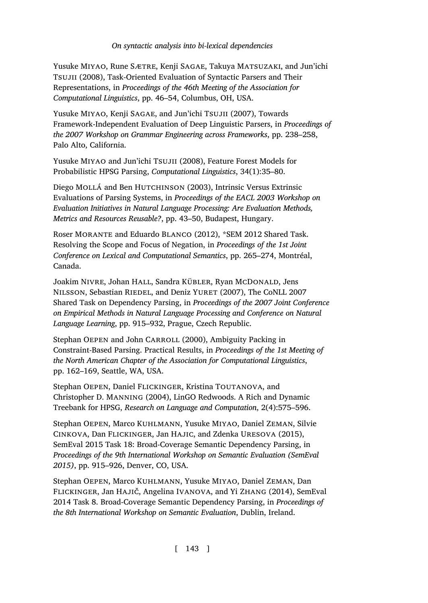<span id="page-30-6"></span>Yusuke Miyao, Rune Sætre, Kenji Sagae, Takuya Matsuzaki, and Jun'ichi Tsujii (2008), Task-Oriented Evaluation of Syntactic Parsers and Their Representations, in *Proceedings of the 46th Meeting of the Association for Computational Linguistics*, pp. 46–54, Columbus, OH, USA.

<span id="page-30-0"></span>Yusuke MIYAO, Kenji SAGAE, and Jun'ichi Tsujii (2007), Towards Framework-Independent Evaluation of Deep Linguistic Parsers, in *Proceedings of the 2007 Workshop on Grammar Engineering across Frameworks*, pp. 238–258, Palo Alto, California.

<span id="page-30-9"></span>Yusuke MIYAO and Jun'ichi TSUJII (2008), Feature Forest Models for Probabilistic HPSG Parsing, *Computational Linguistics*, 34(1):35–80.

<span id="page-30-5"></span>Diego MOLLÁ and Ben HUTCHINSON (2003), Intrinsic Versus Extrinsic Evaluations of Parsing Systems, in *Proceedings of the EACL 2003 Workshop on Evaluation Initiatives in Natural Language Processing: Are Evaluation Methods, Metrics and Resources Reusable?*, pp. 43–50, Budapest, Hungary.

<span id="page-30-4"></span>Roser Morante and Eduardo Blanco (2012), \*SEM 2012 Shared Task. Resolving the Scope and Focus of Negation, in *Proceedings of the 1st Joint Conference on Lexical and Computational Semantics*, pp. 265–274, Montréal, Canada.

<span id="page-30-1"></span>Joakim Nivre, Johan Hall, Sandra Kübler, Ryan McDonald, Jens NILSSON, Sebastian RIEDEL, and Deniz YURET (2007), The CoNLL 2007 Shared Task on Dependency Parsing, in *Proceedings of the 2007 Joint Conference on Empirical Methods in Natural Language Processing and Conference on Natural Language Learning*, pp. 915–932, Prague, Czech Republic.

<span id="page-30-3"></span>Stephan OEPEN and John CARROLL (2000), Ambiguity Packing in Constraint-Based Parsing. Practical Results, in *Proceedings of the 1st Meeting of the North American Chapter of the Association for Computational Linguistics*, pp. 162–169, Seattle, WA, USA.

<span id="page-30-2"></span>Stephan OEPEN, Daniel FLICKINGER, Kristina TOUTANOVA, and Christopher D. Manning (2004), LinGO Redwoods. A Rich and Dynamic Treebank for HPSG, *Research on Language and Computation*, 2(4):575–596.

<span id="page-30-8"></span>Stephan Oepen, Marco Kuhlmann, Yusuke Miyao, Daniel Zeman, Silvie Cinkova, Dan Flickinger, Jan Hajic, and Zdenka Uresova (2015), SemEval 2015 Task 18: Broad-Coverage Semantic Dependency Parsing, in *Proceedings of the 9th International Workshop on Semantic Evaluation (SemEval 2015)*, pp. 915–926, Denver, CO, USA.

<span id="page-30-7"></span>Stephan Oepen, Marco Kuhlmann, Yusuke Miyao, Daniel Zeman, Dan Flickinger, Jan Hajič, Angelina Ivanova, and Yi Zhang (2014), SemEval 2014 Task 8. Broad-Coverage Semantic Dependency Parsing, in *Proceedings of the 8th International Workshop on Semantic Evaluation*, Dublin, Ireland.